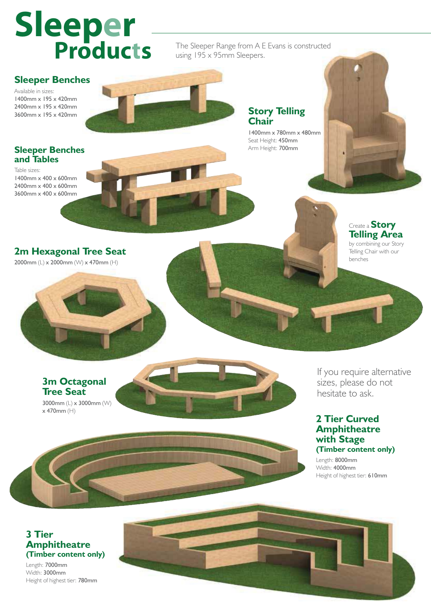# **Sleeper Products**

The Sleeper Range from A E Evans is constructed using 195 x 95mm Sleepers.

### **Sleeper Benches**

Available in sizes: 1400mm x 195 x 420mm 2400mm x 195 x 420mm 3600mm x 195 x 420mm

### **Story Telling Chair**

1400mm x 780mm x 480mm Seat Height: 450mm Arm Height: 700mm



2400mm x 400 x 600mm 3600mm x 400 x 600mm



**2m Hexagonal Tree Seat** 2000mm (L) x 2000mm (W) x 470mm (H)





If you require alternative sizes, please do not hesitate to ask.

#### **2 Tier Curved Amphitheatre with Stage (Timber content only)**

Length: 8000mm Width: 4000mm Height of highest tier: 610mm

#### **3 Tier Amphitheatre (Timber content only)**

**Tree Seat**

x 470mm (H)

Length: 7000mm Width: 3000mm Height of highest tier: 780mm